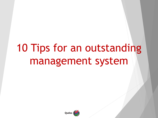# 10 Tips for an outstanding management system

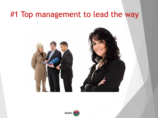### #1 Top management to lead the way





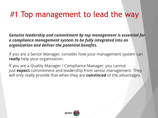# #1 Top management to lead the way

*Genuine leadership and commitment by top management is essential for a compliance management system to be fully integrated into an organization and deliver the potential benefits.*

If you are a Senior Manager, consider how your management system can **really** help your organization.

If you are a Quality Manager / Compliance Manager, you cannot just **expect** commitment and leadership from senior management. They will only really provide that when they are **convinced** of the advantages.

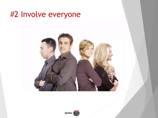#### #2 Involve everyone



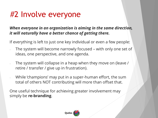# #2 Involve everyone

#### *When everyone in an organization is aiming in the same direction, it will naturally have a better chance of getting there.*

If everything is left to just one key individual or even a few people:

- The system will become narrowly focused with only one set of ideas, one perspective, and one agenda.
- The system will collapse in a heap when they move on (leave / retire / transfer / give up in frustration).
- While 'champions' may put in a super-human effort, the sum total of others NOT contributing will more than offset that.

One useful technique for achieving greater involvement may simply be **re-branding**.

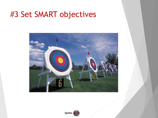#### #3 Set SMART objectives



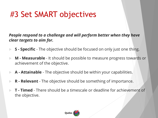# #3 Set SMART objectives

*People respond to a challenge and will perform better when they have clear targets to aim for.* 

- ▶ S Specific The objective should be focused on only just one thing.
- **M - Measurable** It should be possible to measure progress towards or achievement of the objective.
- **A - Attainable** The objective should be within your capabilities.
- **R - Relevant** The objective should be something of importance.
- **T - Timed** There should be a timescale or deadline for achievement of the objective.

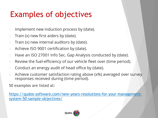# Examples of objectives

- 1. Implement new induction process by (date).
- 2. Train (x) new first aiders by (date).
- 3. Train (x) new internal auditors by (date).
- 4. Achieve ISO 9001 certification by (date).
- 5. Have an ISO 27001 Info Sec. Gap Analysis conducted by (date).
- 6. Review the fuel-efficiency of our vehicle fleet over (time period).
- Conduct an energy audit of head office by (date).
- 8. Achieve customer satisfaction rating above (x%) averaged over survey responses received during (time period).

50 examples are listed at:

[https://qudos-software.com/new-years-resolutions-for-your-management](https://qudos-software.com/new-years-resolutions-for-your-management-system-50-sample-objectives/)system-50-sample-objectives/

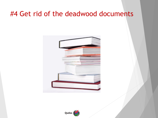#### #4 Get rid of the deadwood documents



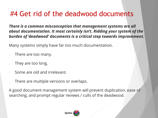#### #4 Get rid of the deadwood documents

*There is a common misconception that management systems are all about documentation. It most certainly isn't. Ridding your system of the burden of 'deadwood' documents is a critical step towards improvement.*

Many systems simply have far too much documentation.

- There are too many.
- They are too long.
- Some are old and irrelevant.
- There are multiple versions or overlaps.

A good document management system will prevent duplication, ease of searching, and prompt regular reviews / culls of the deadwood.

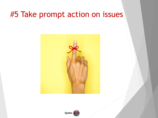#### #5 Take prompt action on issues



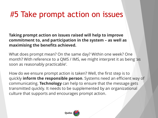## #5 Take prompt action on issues

**Taking prompt action on issues raised will help to improve commitment to, and participation in the system – as well as maximising the benefits achieved.**

What does prompt mean? On the same day? Within one week? One month? With reference to a QMS / IMS, we might interpret it as being 'as soon as reasonably practicable'.

How do we ensure prompt action is taken? Well, the first step is to quickly **inform the responsible person**. Systems need an efficient way of communicating. **Technology** can help to ensure that the message gets transmitted quickly. It needs to be supplemented by an organizational culture that supports and encourages prompt action.

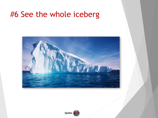#### #6 See the whole iceberg



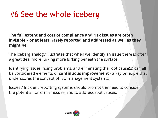# #6 See the whole iceberg

**The full extent and cost of compliance and risk issues are often invisible – or at least, rarely reported and addressed as well as they might be.**

The iceberg analogy illustrates that when we identify an issue there is often a great deal more lurking more lurking beneath the surface.

Identifying issues, fixing problems, and eliminating the root cause(s) can all be considered elements of **continuous improvement** - a key principle that underscores the concept of ISO management systems.

Issues / Incident reporting systems should prompt the need to consider the potential for similar issues, and to address root causes.

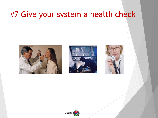### #7 Give your system a health check







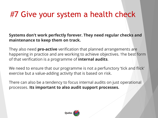# #7 Give your system a health check

#### **Systems don't work perfectly forever. They need regular checks and maintenance to keep them on track.**

They also need **pro-active** verification that planned arrangements are happening in practice and are working to achieve objectives. The best form of that verification is a programme of **internal audits**.

We need to ensure that our programme is not a perfunctory 'tick and flick' exercise but a value-adding activity that is based on risk.

There can also be a tendency to focus internal audits on just operational processes. **Its important to also audit support processes.**

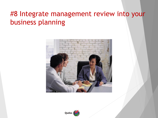#### #8 Integrate management review into your business planning



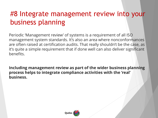#### #8 Integrate management review into your business planning

Periodic 'Management review' of systems is a requirement of all ISO management system standards. It's also an area where nonconformances are often raised at certification audits. That really shouldn't be the case, as it's quite a simple requirement that if done well can also deliver significant benefits.

**Including management review as part of the wider business planning process helps to integrate compliance activities with the 'real' business.**

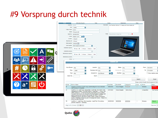### #9 Vorsprung durch technik



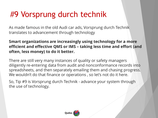# #9 Vorsprung durch technik

As made famous in the old Audi car ads, Vorsprung durch Technik translates to advancement through technology

**Smart organizations are increasingly using technology for a more efficient and effective QMS or IMS – taking less time and effort (and often, less money) to do it better.**

There are still very many instances of quality or safety managers diligently re-entering data from audit and nonconformance records into spreadsheets, and then separately emailing them and chasing progress. We wouldn't do that finance or operations , so let's not do it here.

So, Tip #9 is Vorsprung durch Technik - advance your system through the use of technology.

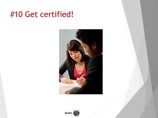### #10 Get certified!



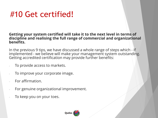# #10 Get certified!

#### **Getting your system certified will take it to the next level in terms of discipline and realising the full range of commercial and organizational benefits.**

In the previous 9 tips, we have discussed a whole range of steps which - if implemented - we believe will make your management system outstanding. Getting accredited certification may provide further benefits:

- To provide access to markets.
- To improve your corporate image.
- For affirmation.
- For genuine organizational improvement.
- To keep you on your toes.